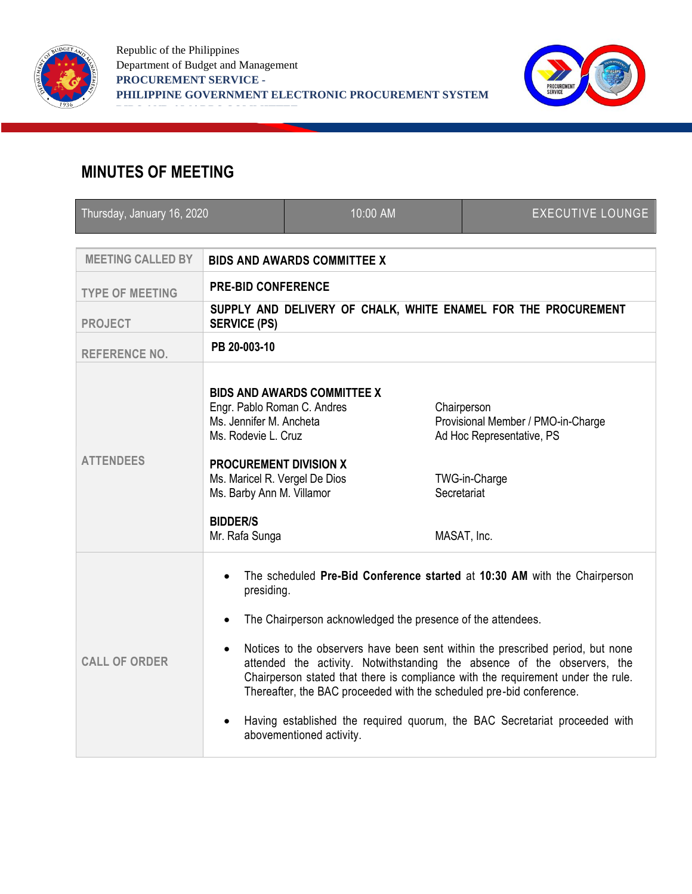



## **MINUTES OF MEETING**

| Thursday, January 16, 2020 |                                                                                                                                                                                                                                                                                                                                                                                                                                                                                                                                                                                                                                                | 10:00 AM                           |             | <b>EXECUTIVE LOUNGE</b>                                                                                        |  |
|----------------------------|------------------------------------------------------------------------------------------------------------------------------------------------------------------------------------------------------------------------------------------------------------------------------------------------------------------------------------------------------------------------------------------------------------------------------------------------------------------------------------------------------------------------------------------------------------------------------------------------------------------------------------------------|------------------------------------|-------------|----------------------------------------------------------------------------------------------------------------|--|
| <b>MEETING CALLED BY</b>   | <b>BIDS AND AWARDS COMMITTEE X</b>                                                                                                                                                                                                                                                                                                                                                                                                                                                                                                                                                                                                             |                                    |             |                                                                                                                |  |
| <b>TYPE OF MEETING</b>     | <b>PRE-BID CONFERENCE</b>                                                                                                                                                                                                                                                                                                                                                                                                                                                                                                                                                                                                                      |                                    |             |                                                                                                                |  |
| <b>PROJECT</b>             | SUPPLY AND DELIVERY OF CHALK, WHITE ENAMEL FOR THE PROCUREMENT<br><b>SERVICE (PS)</b>                                                                                                                                                                                                                                                                                                                                                                                                                                                                                                                                                          |                                    |             |                                                                                                                |  |
| <b>REFERENCE NO.</b>       | PB 20-003-10                                                                                                                                                                                                                                                                                                                                                                                                                                                                                                                                                                                                                                   |                                    |             |                                                                                                                |  |
| <b>ATTENDEES</b>           | Engr. Pablo Roman C. Andres<br>Ms. Jennifer M. Ancheta<br>Ms. Rodevie L. Cruz<br><b>PROCUREMENT DIVISION X</b><br>Ms. Maricel R. Vergel De Dios<br>Ms. Barby Ann M. Villamor<br><b>BIDDER/S</b><br>Mr. Rafa Sunga                                                                                                                                                                                                                                                                                                                                                                                                                              | <b>BIDS AND AWARDS COMMITTEE X</b> | Secretariat | Chairperson<br>Provisional Member / PMO-in-Charge<br>Ad Hoc Representative, PS<br>TWG-in-Charge<br>MASAT, Inc. |  |
| <b>CALL OF ORDER</b>       | The scheduled Pre-Bid Conference started at 10:30 AM with the Chairperson<br>$\bullet$<br>presiding.<br>The Chairperson acknowledged the presence of the attendees.<br>$\bullet$<br>Notices to the observers have been sent within the prescribed period, but none<br>$\bullet$<br>attended the activity. Notwithstanding the absence of the observers, the<br>Chairperson stated that there is compliance with the requirement under the rule.<br>Thereafter, the BAC proceeded with the scheduled pre-bid conference.<br>Having established the required quorum, the BAC Secretariat proceeded with<br>$\bullet$<br>abovementioned activity. |                                    |             |                                                                                                                |  |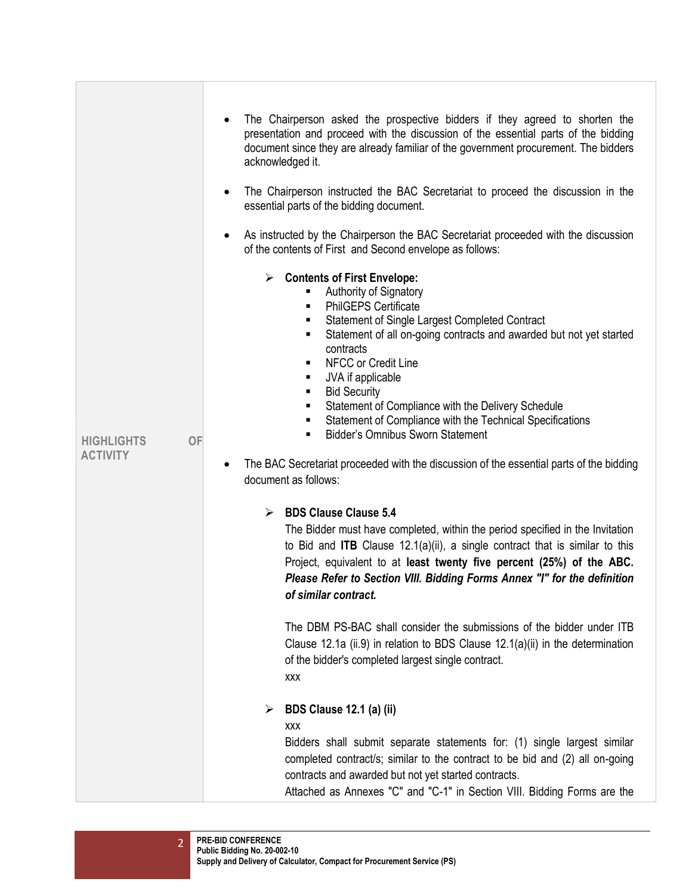| <b>HIGHLIGHTS</b><br><b>ACTIVITY</b> | ٠         | The Chairperson asked the prospective bidders if they agreed to shorten the<br>presentation and proceed with the discussion of the essential parts of the bidding<br>document since they are already familiar of the government procurement. The bidders<br>acknowledged it.<br>The Chairperson instructed the BAC Secretariat to proceed the discussion in the<br>essential parts of the bidding document.                                                                                                                                               |
|--------------------------------------|-----------|-----------------------------------------------------------------------------------------------------------------------------------------------------------------------------------------------------------------------------------------------------------------------------------------------------------------------------------------------------------------------------------------------------------------------------------------------------------------------------------------------------------------------------------------------------------|
|                                      | $\bullet$ | As instructed by the Chairperson the BAC Secretariat proceeded with the discussion<br>of the contents of First and Second envelope as follows:<br>$\triangleright$ Contents of First Envelope:<br>Authority of Signatory<br><b>PhilGEPS Certificate</b><br>٠<br>Statement of Single Largest Completed Contract<br>٠<br>Statement of all on-going contracts and awarded but not yet started<br>٠<br>contracts<br>NFCC or Credit Line<br>٠<br>JVA if applicable<br>٠<br><b>Bid Security</b><br>٠<br>Statement of Compliance with the Delivery Schedule<br>٠ |
|                                      | OF<br>٠   | Statement of Compliance with the Technical Specifications<br>٠<br><b>Bidder's Omnibus Sworn Statement</b><br>٠<br>The BAC Secretariat proceeded with the discussion of the essential parts of the bidding<br>document as follows:<br><b>BDS Clause Clause 5.4</b><br>➤                                                                                                                                                                                                                                                                                    |
|                                      |           | The Bidder must have completed, within the period specified in the Invitation<br>to Bid and ITB Clause $12.1(a)(ii)$ , a single contract that is similar to this<br>Project, equivalent to at least twenty five percent (25%) of the ABC.<br>Please Refer to Section VIII. Bidding Forms Annex "I" for the definition<br>of similar contract.                                                                                                                                                                                                             |
|                                      |           | The DBM PS-BAC shall consider the submissions of the bidder under ITB<br>Clause 12.1a (ii.9) in relation to BDS Clause $12.1(a)(ii)$ in the determination<br>of the bidder's completed largest single contract.<br>XXX                                                                                                                                                                                                                                                                                                                                    |
|                                      |           | BDS Clause 12.1 (a) (ii)<br>➤<br>XXX<br>Bidders shall submit separate statements for: (1) single largest similar<br>completed contract/s; similar to the contract to be bid and (2) all on-going<br>contracts and awarded but not yet started contracts.<br>Attached as Annexes "C" and "C-1" in Section VIII. Bidding Forms are the                                                                                                                                                                                                                      |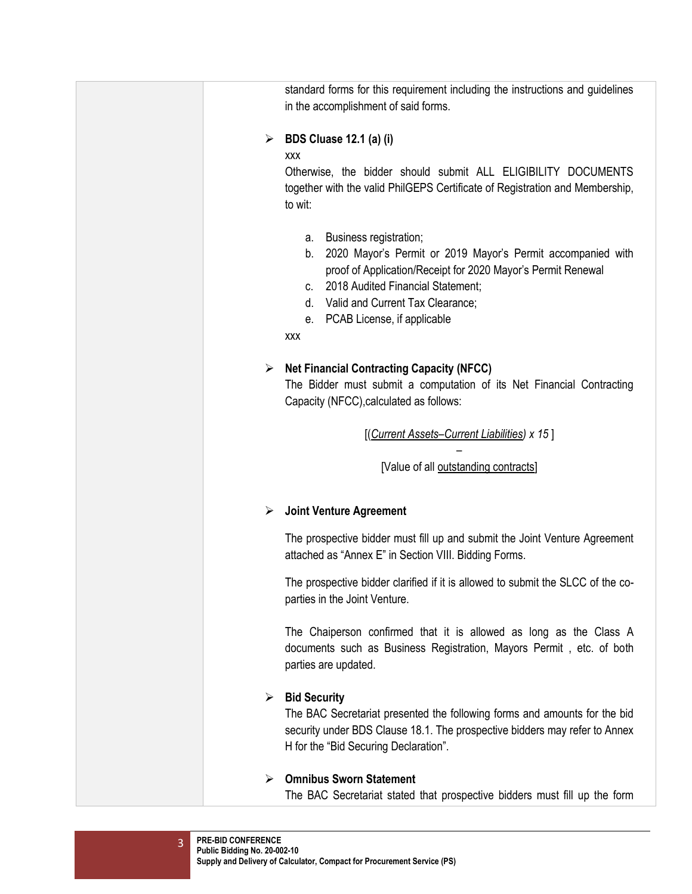| standard forms for this requirement including the instructions and guidelines<br>in the accomplishment of said forms.                                                                                                                                                                            |
|--------------------------------------------------------------------------------------------------------------------------------------------------------------------------------------------------------------------------------------------------------------------------------------------------|
| <b>BDS Cluase 12.1 (a) (i)</b><br>➤                                                                                                                                                                                                                                                              |
| <b>XXX</b><br>Otherwise, the bidder should submit ALL ELIGIBILITY DOCUMENTS<br>together with the valid PhilGEPS Certificate of Registration and Membership,<br>to wit:                                                                                                                           |
| Business registration;<br>а.<br>b. 2020 Mayor's Permit or 2019 Mayor's Permit accompanied with<br>proof of Application/Receipt for 2020 Mayor's Permit Renewal<br>c. 2018 Audited Financial Statement;<br>d. Valid and Current Tax Clearance;<br>PCAB License, if applicable<br>е.<br><b>XXX</b> |
|                                                                                                                                                                                                                                                                                                  |
| <b>Net Financial Contracting Capacity (NFCC)</b><br>➤<br>The Bidder must submit a computation of its Net Financial Contracting<br>Capacity (NFCC), calculated as follows:                                                                                                                        |
| [(Current Assets-Current Liabilities) x 15]                                                                                                                                                                                                                                                      |
| [Value of all outstanding contracts]                                                                                                                                                                                                                                                             |
| <b>Joint Venture Agreement</b><br>➤                                                                                                                                                                                                                                                              |
| The prospective bidder must fill up and submit the Joint Venture Agreement<br>attached as "Annex E" in Section VIII. Bidding Forms.                                                                                                                                                              |
| The prospective bidder clarified if it is allowed to submit the SLCC of the co-<br>parties in the Joint Venture.                                                                                                                                                                                 |
| The Chaiperson confirmed that it is allowed as long as the Class A<br>documents such as Business Registration, Mayors Permit, etc. of both<br>parties are updated.                                                                                                                               |
| <b>Bid Security</b><br>➤<br>The BAC Secretariat presented the following forms and amounts for the bid<br>security under BDS Clause 18.1. The prospective bidders may refer to Annex<br>H for the "Bid Securing Declaration".                                                                     |
| <b>Omnibus Sworn Statement</b><br>➤<br>The BAC Secretariat stated that prospective bidders must fill up the form                                                                                                                                                                                 |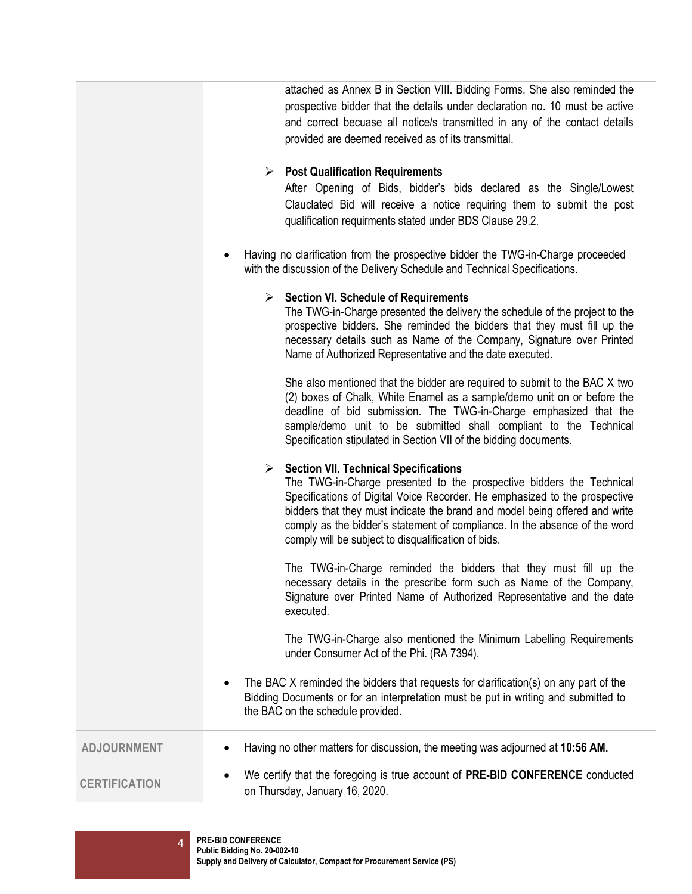|                      | attached as Annex B in Section VIII. Bidding Forms. She also reminded the<br>prospective bidder that the details under declaration no. 10 must be active<br>and correct becuase all notice/s transmitted in any of the contact details<br>provided are deemed received as of its transmittal.                                                                                                                                    |  |  |
|----------------------|----------------------------------------------------------------------------------------------------------------------------------------------------------------------------------------------------------------------------------------------------------------------------------------------------------------------------------------------------------------------------------------------------------------------------------|--|--|
|                      | $\triangleright$ Post Qualification Requirements<br>After Opening of Bids, bidder's bids declared as the Single/Lowest<br>Clauclated Bid will receive a notice requiring them to submit the post<br>qualification requirments stated under BDS Clause 29.2.                                                                                                                                                                      |  |  |
|                      | Having no clarification from the prospective bidder the TWG-in-Charge proceeded<br>with the discussion of the Delivery Schedule and Technical Specifications.                                                                                                                                                                                                                                                                    |  |  |
|                      | $\triangleright$ Section VI. Schedule of Requirements<br>The TWG-in-Charge presented the delivery the schedule of the project to the<br>prospective bidders. She reminded the bidders that they must fill up the<br>necessary details such as Name of the Company, Signature over Printed<br>Name of Authorized Representative and the date executed.                                                                            |  |  |
|                      | She also mentioned that the bidder are required to submit to the BAC X two<br>(2) boxes of Chalk, White Enamel as a sample/demo unit on or before the<br>deadline of bid submission. The TWG-in-Charge emphasized that the<br>sample/demo unit to be submitted shall compliant to the Technical<br>Specification stipulated in Section VII of the bidding documents.                                                             |  |  |
|                      | $\triangleright$ Section VII. Technical Specifications<br>The TWG-in-Charge presented to the prospective bidders the Technical<br>Specifications of Digital Voice Recorder. He emphasized to the prospective<br>bidders that they must indicate the brand and model being offered and write<br>comply as the bidder's statement of compliance. In the absence of the word<br>comply will be subject to disqualification of bids. |  |  |
|                      | The TWG-in-Charge reminded the bidders that they must fill up the<br>necessary details in the prescribe form such as Name of the Company,<br>Signature over Printed Name of Authorized Representative and the date<br>executed.                                                                                                                                                                                                  |  |  |
|                      | The TWG-in-Charge also mentioned the Minimum Labelling Requirements<br>under Consumer Act of the Phi. (RA 7394).                                                                                                                                                                                                                                                                                                                 |  |  |
|                      | The BAC X reminded the bidders that requests for clarification(s) on any part of the<br>Bidding Documents or for an interpretation must be put in writing and submitted to<br>the BAC on the schedule provided.                                                                                                                                                                                                                  |  |  |
| <b>ADJOURNMENT</b>   | Having no other matters for discussion, the meeting was adjourned at 10:56 AM.                                                                                                                                                                                                                                                                                                                                                   |  |  |
| <b>CERTIFICATION</b> | We certify that the foregoing is true account of PRE-BID CONFERENCE conducted<br>on Thursday, January 16, 2020.                                                                                                                                                                                                                                                                                                                  |  |  |